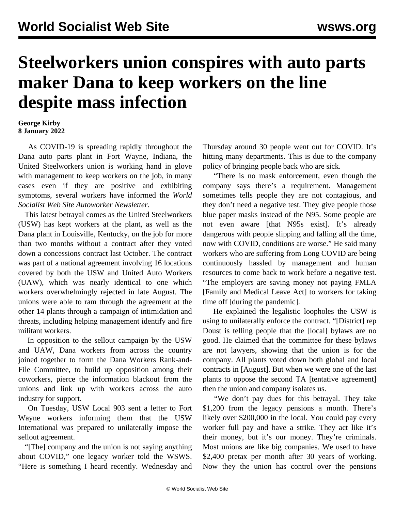## **Steelworkers union conspires with auto parts maker Dana to keep workers on the line despite mass infection**

## **George Kirby 8 January 2022**

 As COVID-19 is spreading rapidly throughout the Dana auto parts plant in Fort Wayne, Indiana, the United Steelworkers union is working hand in glove with management to keep workers on the job, in many cases even if they are positive and exhibiting symptoms, several workers have informed the *World Socialist Web Site Autoworker Newsletter.*

 This latest betrayal comes as the United Steelworkers (USW) has kept workers at the plant, as well as the Dana plant in Louisville, Kentucky, on the job for more than two months without a contract after they voted down a concessions contract last October. The contract was part of a national agreement involving 16 locations covered by both the USW and United Auto Workers (UAW), which was nearly identical to one which workers overwhelmingly rejected in late August. The unions were able to ram through the agreement at the other 14 plants through a campaign of intimidation and threats, including helping management identify and fire militant workers.

 In opposition to the sellout campaign by the USW and UAW, Dana workers from across the country joined together to form the Dana Workers Rank-and-File Committee, to build up opposition among their coworkers, pierce the information blackout from the unions and link up with workers across the auto industry for support.

 On Tuesday, USW Local 903 sent a letter to Fort Wayne workers informing them that the USW International was prepared to unilaterally impose the sellout agreement.

 "[The] company and the union is not saying anything about COVID," one legacy worker told the WSWS. "Here is something I heard recently. Wednesday and Thursday around 30 people went out for COVID. It's hitting many departments. This is due to the company policy of bringing people back who are sick.

 "There is no mask enforcement, even though the company says there's a requirement. Management sometimes tells people they are not contagious, and they don't need a negative test. They give people those blue paper masks instead of the N95. Some people are not even aware [that N95s exist]. It's already dangerous with people slipping and falling all the time, now with COVID, conditions are worse." He said many workers who are suffering from Long COVID are being continuously hassled by management and human resources to come back to work before a negative test. "The employers are saving money not paying FMLA [Family and Medical Leave Act] to workers for taking time off [during the pandemic].

 He explained the legalistic loopholes the USW is using to unilaterally enforce the contract. "[District] rep Doust is telling people that the [local] bylaws are no good. He claimed that the committee for these bylaws are not lawyers, showing that the union is for the company. All plants voted down both global and local contracts in [August]. But when we were one of the last plants to oppose the second TA [tentative agreement] then the union and company isolates us.

 "We don't pay dues for this betrayal. They take \$1,200 from the legacy pensions a month. There's likely over \$200,000 in the local. You could pay every worker full pay and have a strike. They act like it's their money, but it's our money. They're criminals. Most unions are like big companies. We used to have \$2,400 pretax per month after 30 years of working. Now they the union has control over the pensions